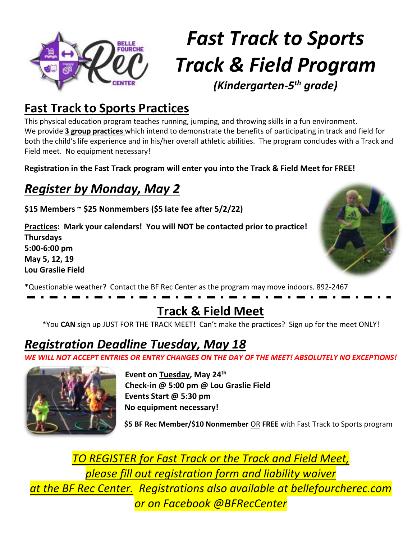

# *Fast Track to Sports Track & Field Program (Kindergarten-5 th grade)*

**Fast Track to Sports Practices**

This physical education program teaches running, jumping, and throwing skills in a fun environment. We provide **3 group practices** which intend to demonstrate the benefits of participating in track and field for both the child's life experience and in his/her overall athletic abilities. The program concludes with a Track and Field meet. No equipment necessary!

**Registration in the Fast Track program will enter you into the Track & Field Meet for FREE!**

# *Register by Monday, May 2*

**\$15 Members ~ \$25 Nonmembers (\$5 late fee after 5/2/22)**

**Practices: Mark your calendars! You will NOT be contacted prior to practice! Thursdays 5:00-6:00 pm May 5, 12, 19 Lou Graslie Field**



\*Questionable weather? Contact the BF Rec Center as the program may move indoors. 892-2467

## **Track & Field Meet**

\*You **CAN** sign up JUST FOR THE TRACK MEET! Can't make the practices? Sign up for the meet ONLY!

## *Registration Deadline Tuesday, May 18*

*WE WILL NOT ACCEPT ENTRIES OR ENTRY CHANGES ON THE DAY OF THE MEET! ABSOLUTELY NO EXCEPTIONS!*



**Event on Tuesday, May 24 th Check-in @ 5:00 pm @ Lou Graslie Field Events Start @ 5:30 pm No equipment necessary!**

**\$5 BF Rec Member/\$10 Nonmember** OR **FREE** with Fast Track to Sports program

*TO REGISTER for Fast Track or the Track and Field Meet, please fill out registration form and liability waiver at the BF Rec Center. Registrations also available at bellefourcherec.com or on Facebook @BFRecCenter*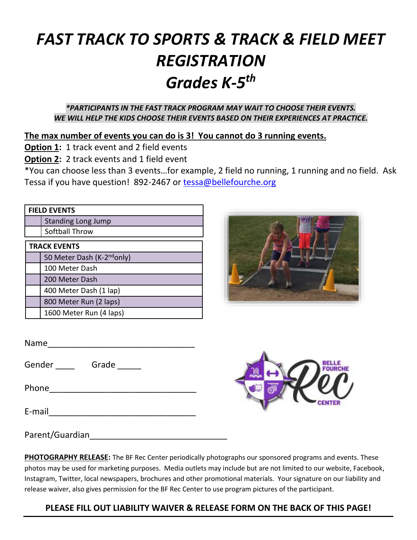# *FAST TRACK TO SPORTS & TRACK & FIELD MEET REGISTRATION Grades K-5 th*

*\*PARTICIPANTS IN THE FAST TRACK PROGRAM MAY WAIT TO CHOOSE THEIR EVENTS. WE WILL HELP THE KIDS CHOOSE THEIR EVENTS BASED ON THEIR EXPERIENCES AT PRACTICE.*

**The max number of events you can do is 3! You cannot do 3 running events.**

**Option 1:** 1 track event and 2 field events

**Option 2:** 2 track events and 1 field event

\*You can choose less than 3 events…for example, 2 field no running, 1 running and no field. Ask Tessa if you have question! 892-2467 or [tessa@bellefourche.org](mailto:tessa@bellefourche.org)

| <b>FIELD EVENTS</b> |                                        |  |
|---------------------|----------------------------------------|--|
|                     | <b>Standing Long Jump</b>              |  |
|                     | Softball Throw                         |  |
| <b>TRACK EVENTS</b> |                                        |  |
|                     | 50 Meter Dash (K-2 <sup>nd</sup> only) |  |
|                     | 100 Meter Dash                         |  |
|                     | 200 Meter Dash                         |  |
|                     | 400 Meter Dash (1 lap)                 |  |
|                     | 800 Meter Run (2 laps)                 |  |
|                     | 1600 Meter Run (4 laps)                |  |



| Name                  |       |
|-----------------------|-------|
| Gender<br>in<br>Santa | Grade |
| Phone                 |       |
| E-mail                |       |
|                       |       |



Parent/Guardian

**PHOTOGRAPHY RELEASE:** The BF Rec Center periodically photographs our sponsored programs and events. These photos may be used for marketing purposes. Media outlets may include but are not limited to our website, Facebook, Instagram, Twitter, local newspapers, brochures and other promotional materials. Your signature on our liability and release waiver, also gives permission for the BF Rec Center to use program pictures of the participant.

#### **PLEASE FILL OUT LIABILITY WAIVER & RELEASE FORM ON THE BACK OF THIS PAGE!**